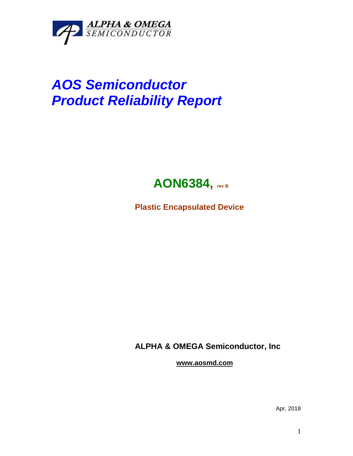

## *AOS Semiconductor Product Reliability Report*



**Plastic Encapsulated Device**

**ALPHA & OMEGA Semiconductor, Inc**

**www.aosmd.com**

Apr, 2018